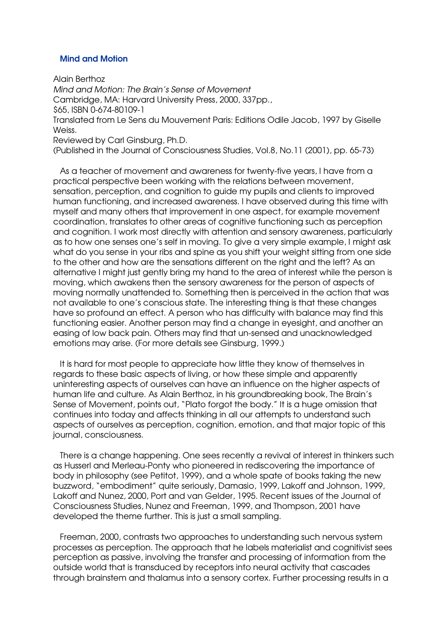## Mind and Motion

Alain Berthoz Mind and Motion: The Brain's Sense of Movement Cambridge, MA: Harvard University Press, 2000, 337pp., \$65, ISBN 0-674-80109-1 Translated from Le Sens du Mouvement Paris: Editions Odile Jacob, 1997 by Giselle Weiss. Reviewed by Carl Ginsburg, Ph.D. (Published in the Journal of Consciousness Studies, Vol.8, No.11 (2001), pp. 65-73)

As a teacher of movement and awareness for twenty-five years, I have from a practical perspective been working with the relations between movement, sensation, perception, and cognition to guide my pupils and clients to improved human functioning, and increased awareness. I have observed during this time with myself and many others that improvement in one aspect, for example movement coordination, translates to other areas of cognitive functioning such as perception and cognition. I work most directly with attention and sensory awareness, particularly as to how one senses one's self in moving. To give a very simple example, I might ask what do you sense in your ribs and spine as you shift your weight sitting from one side to the other and how are the sensations different on the right and the left? As an alternative I might just gently bring my hand to the area of interest while the person is moving, which awakens then the sensory awareness for the person of aspects of moving normally unattended to. Something then is perceived in the action that was not available to one's conscious state. The interesting thing is that these changes have so profound an effect. A person who has difficulty with balance may find this functioning easier. Another person may find a change in eyesight, and another an easing of low back pain. Others may find that un-sensed and unacknowledged emotions may arise. (For more details see Ginsburg, 1999.)

It is hard for most people to appreciate how little they know of themselves in regards to these basic aspects of living, or how these simple and apparently uninteresting aspects of ourselves can have an influence on the higher aspects of human life and culture. As Alain Berthoz, in his groundbreaking book, The Brain's Sense of Movement, points out, "Plato forgot the body." It is a huge omission that continues into today and affects thinking in all our attempts to understand such aspects of ourselves as perception, cognition, emotion, and that major topic of this journal, consciousness.

There is a change happening. One sees recently a revival of interest in thinkers such as Husserl and Merleau-Ponty who pioneered in rediscovering the importance of body in philosophy (see Petitot, 1999), and a whole spate of books taking the new buzzword, "embodiment" quite seriously, Damasio, 1999, Lakoff and Johnson, 1999, Lakoff and Nunez, 2000, Port and van Gelder, 1995. Recent issues of the Journal of Consciousness Studies, Nunez and Freeman, 1999, and Thompson, 2001 have developed the theme further. This is just a small sampling.

Freeman, 2000, contrasts two approaches to understanding such nervous system processes as perception. The approach that he labels materialist and cognitivist sees perception as passive, involving the transfer and processing of information from the outside world that is transduced by receptors into neural activity that cascades through brainstem and thalamus into a sensory cortex. Further processing results in a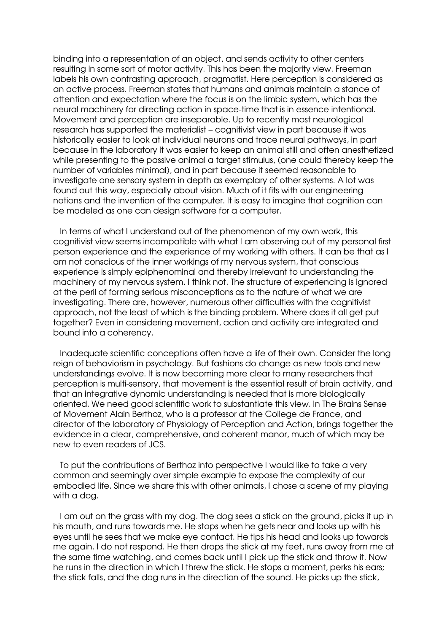binding into a representation of an object, and sends activity to other centers resulting in some sort of motor activity. This has been the majority view. Freeman labels his own contrasting approach, pragmatist. Here perception is considered as an active process. Freeman states that humans and animals maintain a stance of attention and expectation where the focus is on the limbic system, which has the neural machinery for directing action in space-time that is in essence intentional. Movement and perception are inseparable. Up to recently most neurological research has supported the materialist – cognitivist view in part because it was historically easier to look at individual neurons and trace neural pathways, in part because in the laboratory it was easier to keep an animal still and often anesthetized while presenting to the passive animal a target stimulus, (one could thereby keep the number of variables minimal), and in part because it seemed reasonable to investigate one sensory system in depth as exemplary of other systems. A lot was found out this way, especially about vision. Much of it fits with our engineering notions and the invention of the computer. It is easy to imagine that cognition can be modeled as one can design software for a computer.

In terms of what I understand out of the phenomenon of my own work, this cognitivist view seems incompatible with what I am observing out of my personal first person experience and the experience of my working with others. It can be that as I am not conscious of the inner workings of my nervous system, that conscious experience is simply epiphenominal and thereby irrelevant to understanding the machinery of my nervous system. I think not. The structure of experiencing is ignored at the peril of forming serious misconceptions as to the nature of what we are investigating. There are, however, numerous other difficulties with the cognitivist approach, not the least of which is the binding problem. Where does it all get put together? Even in considering movement, action and activity are integrated and bound into a coherency.

Inadequate scientific conceptions often have a life of their own. Consider the long reign of behaviorism in psychology. But fashions do change as new tools and new understandings evolve. It is now becoming more clear to many researchers that perception is multi-sensory, that movement is the essential result of brain activity, and that an integrative dynamic understanding is needed that is more biologically oriented. We need good scientific work to substantiate this view. In The Brains Sense of Movement Alain Berthoz, who is a professor at the College de France, and director of the laboratory of Physiology of Perception and Action, brings together the evidence in a clear, comprehensive, and coherent manor, much of which may be new to even readers of JCS.

To put the contributions of Berthoz into perspective I would like to take a very common and seemingly over simple example to expose the complexity of our embodied life. Since we share this with other animals, I chose a scene of my playing with a dog.

I am out on the grass with my dog. The dog sees a stick on the ground, picks it up in his mouth, and runs towards me. He stops when he gets near and looks up with his eyes until he sees that we make eye contact. He tips his head and looks up towards me again. I do not respond. He then drops the stick at my feet, runs away from me at the same time watching, and comes back until I pick up the stick and throw it. Now he runs in the direction in which I threw the stick. He stops a moment, perks his ears; the stick falls, and the dog runs in the direction of the sound. He picks up the stick,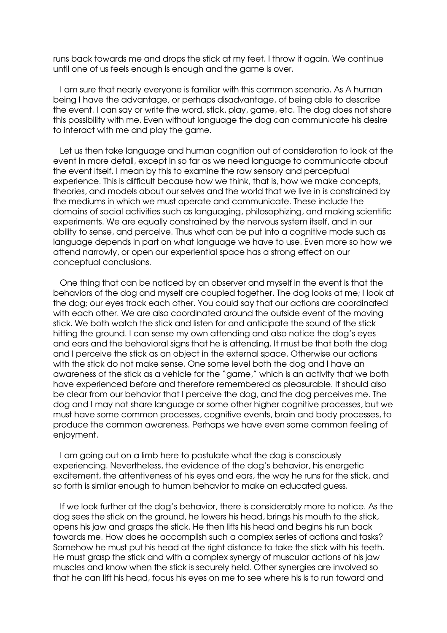runs back towards me and drops the stick at my feet. I throw it again. We continue until one of us feels enough is enough and the game is over.

I am sure that nearly everyone is familiar with this common scenario. As A human being I have the advantage, or perhaps disadvantage, of being able to describe the event. I can say or write the word, stick, play, game, etc. The dog does not share this possibility with me. Even without language the dog can communicate his desire to interact with me and play the game.

Let us then take language and human cognition out of consideration to look at the event in more detail, except in so far as we need language to communicate about the event itself. I mean by this to examine the raw sensory and perceptual experience. This is difficult because how we think, that is, how we make concepts, theories, and models about our selves and the world that we live in is constrained by the mediums in which we must operate and communicate. These include the domains of social activities such as languaging, philosophizing, and making scientific experiments. We are equally constrained by the nervous system itself, and in our ability to sense, and perceive. Thus what can be put into a cognitive mode such as language depends in part on what language we have to use. Even more so how we attend narrowly, or open our experiential space has a strong effect on our conceptual conclusions.

One thing that can be noticed by an observer and myself in the event is that the behaviors of the dog and myself are coupled together. The dog looks at me; I look at the dog; our eyes track each other. You could say that our actions are coordinated with each other. We are also coordinated around the outside event of the moving stick. We both watch the stick and listen for and anticipate the sound of the stick hitting the ground. I can sense my own attending and also notice the dog's eyes and ears and the behavioral signs that he is attending. It must be that both the dog and I perceive the stick as an object in the external space. Otherwise our actions with the stick do not make sense. One some level both the dog and I have an awareness of the stick as a vehicle for the "game," which is an activity that we both have experienced before and therefore remembered as pleasurable. It should also be clear from our behavior that I perceive the dog, and the dog perceives me. The dog and I may not share language or some other higher cognitive processes, but we must have some common processes, cognitive events, brain and body processes, to produce the common awareness. Perhaps we have even some common feeling of enjoyment.

I am going out on a limb here to postulate what the dog is consciously experiencing. Nevertheless, the evidence of the dog's behavior, his energetic excitement, the attentiveness of his eyes and ears, the way he runs for the stick, and so forth is similar enough to human behavior to make an educated guess.

If we look further at the dog's behavior, there is considerably more to notice. As the dog sees the stick on the ground, he lowers his head, brings his mouth to the stick, opens his jaw and grasps the stick. He then lifts his head and begins his run back towards me. How does he accomplish such a complex series of actions and tasks? Somehow he must put his head at the right distance to take the stick with his teeth. He must grasp the stick and with a complex synergy of muscular actions of his jaw muscles and know when the stick is securely held. Other synergies are involved so that he can lift his head, focus his eyes on me to see where his is to run toward and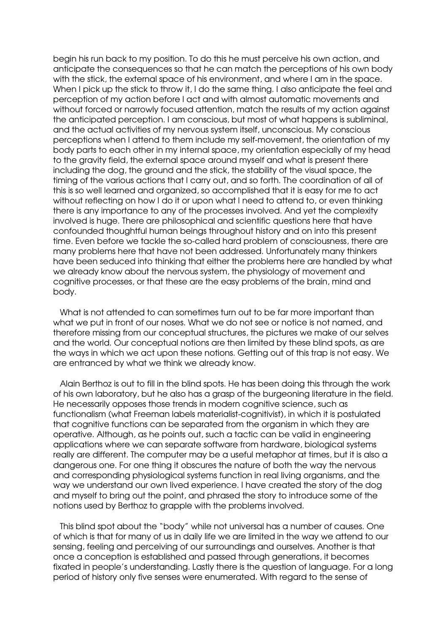begin his run back to my position. To do this he must perceive his own action, and anticipate the consequences so that he can match the perceptions of his own body with the stick, the external space of his environment, and where I am in the space. When I pick up the stick to throw it, I do the same thing. I also anticipate the feel and perception of my action before I act and with almost automatic movements and without forced or narrowly focused attention, match the results of my action against the anticipated perception. I am conscious, but most of what happens is subliminal, and the actual activities of my nervous system itself, unconscious. My conscious perceptions when I attend to them include my self-movement, the orientation of my body parts to each other in my internal space, my orientation especially of my head to the gravity field, the external space around myself and what is present there including the dog, the ground and the stick, the stability of the visual space, the timing of the various actions that I carry out, and so forth. The coordination of all of this is so well learned and organized, so accomplished that it is easy for me to act without reflecting on how I do it or upon what I need to attend to, or even thinking there is any importance to any of the processes involved. And yet the complexity involved is huge. There are philosophical and scientific questions here that have confounded thoughtful human beings throughout history and on into this present time. Even before we tackle the so-called hard problem of consciousness, there are many problems here that have not been addressed. Unfortunately many thinkers have been seduced into thinking that either the problems here are handled by what we already know about the nervous system, the physiology of movement and cognitive processes, or that these are the easy problems of the brain, mind and body.

What is not attended to can sometimes turn out to be far more important than what we put in front of our noses. What we do not see or notice is not named, and therefore missing from our conceptual structures, the pictures we make of our selves and the world. Our conceptual notions are then limited by these blind spots, as are the ways in which we act upon these notions. Getting out of this trap is not easy. We are entranced by what we think we already know.

Alain Berthoz is out to fill in the blind spots. He has been doing this through the work of his own laboratory, but he also has a grasp of the burgeoning literature in the field. He necessarily opposes those trends in modern cognitive science, such as functionalism (what Freeman labels materialist-cognitivist), in which it is postulated that cognitive functions can be separated from the organism in which they are operative. Although, as he points out, such a tactic can be valid in engineering applications where we can separate software from hardware, biological systems really are different. The computer may be a useful metaphor at times, but it is also a dangerous one. For one thing it obscures the nature of both the way the nervous and corresponding physiological systems function in real living organisms, and the way we understand our own lived experience. I have created the story of the dog and myself to bring out the point, and phrased the story to introduce some of the notions used by Berthoz to grapple with the problems involved.

This blind spot about the "body" while not universal has a number of causes. One of which is that for many of us in daily life we are limited in the way we attend to our sensing, feeling and perceiving of our surroundings and ourselves. Another is that once a conception is established and passed through generations, it becomes fixated in people's understanding. Lastly there is the question of language. For a long period of history only five senses were enumerated. With regard to the sense of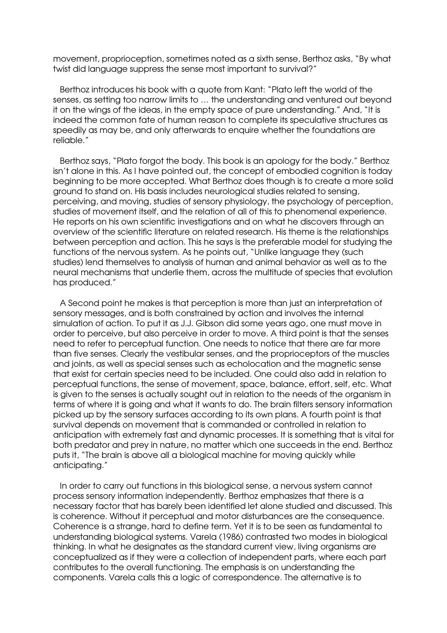movement, proprioception, sometimes noted as a sixth sense, Berthoz asks, "By what twist did language suppress the sense most important to survival?"

Berthoz introduces his book with a quote from Kant: "Plato left the world of the senses, as setting too narrow limits to … the understanding and ventured out beyond it on the wings of the ideas, in the empty space of pure understanding." And, "It is indeed the common fate of human reason to complete its speculative structures as speedily as may be, and only afterwards to enquire whether the foundations are reliable."

Berthoz says, "Plato forgot the body. This book is an apology for the body." Berthoz isn't alone in this. As I have pointed out, the concept of embodied cognition is today beginning to be more accepted. What Berthoz does though is to create a more solid ground to stand on. His basis includes neurological studies related to sensing, perceiving, and moving, studies of sensory physiology, the psychology of perception, studies of movement itself, and the relation of all of this to phenomenal experience. He reports on his own scientific investigations and on what he discovers through an overview of the scientific literature on related research. His theme is the relationships between perception and action. This he says is the preferable model for studying the functions of the nervous system. As he points out, "Unlike language they (such studies) lend themselves to analysis of human and animal behavior as well as to the neural mechanisms that underlie them, across the multitude of species that evolution has produced."

A Second point he makes is that perception is more than just an interpretation of sensory messages, and is both constrained by action and involves the internal simulation of action. To put it as J.J. Gibson did some years ago, one must move in order to perceive, but also perceive in order to move. A third point is that the senses need to refer to perceptual function. One needs to notice that there are far more than five senses. Clearly the vestibular senses, and the proprioceptors of the muscles and joints, as well as special senses such as echolocation and the magnetic sense that exist for certain species need to be included. One could also add in relation to perceptual functions, the sense of movement, space, balance, effort, self, etc. What is given to the senses is actually sought out in relation to the needs of the organism in terms of where it is going and what it wants to do. The brain filters sensory information picked up by the sensory surfaces according to its own plans. A fourth point is that survival depends on movement that is commanded or controlled in relation to anticipation with extremely fast and dynamic processes. It is something that is vital for both predator and prey in nature, no matter which one succeeds in the end. Berthoz puts it, "The brain is above all a biological machine for moving quickly while anticipating."

In order to carry out functions in this biological sense, a nervous system cannot process sensory information independently. Berthoz emphasizes that there is a necessary factor that has barely been identified let alone studied and discussed. This is coherence. Without it perceptual and motor disturbances are the consequence. Coherence is a strange, hard to define term. Yet it is to be seen as fundamental to understanding biological systems. Varela (1986) contrasted two modes in biological thinking. In what he designates as the standard current view, living organisms are conceptualized as if they were a collection of independent parts, where each part contributes to the overall functioning. The emphasis is on understanding the components. Varela calls this a logic of correspondence. The alternative is to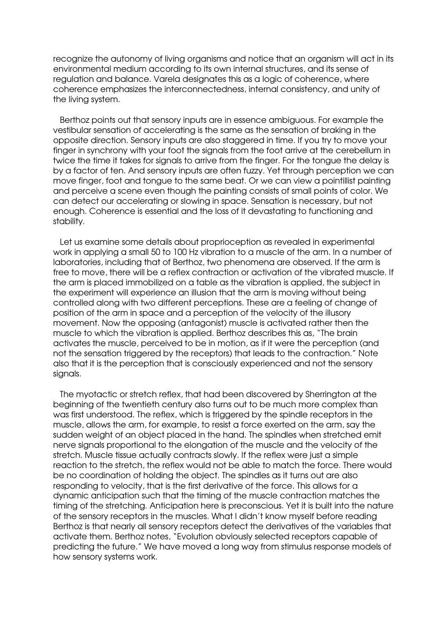recognize the autonomy of living organisms and notice that an organism will act in its environmental medium according to its own internal structures, and its sense of regulation and balance. Varela designates this as a logic of coherence, where coherence emphasizes the interconnectedness, internal consistency, and unity of the living system.

Berthoz points out that sensory inputs are in essence ambiguous. For example the vestibular sensation of accelerating is the same as the sensation of braking in the opposite direction. Sensory inputs are also staggered in time. If you try to move your finger in synchrony with your foot the signals from the foot arrive at the cerebellum in twice the time it takes for signals to arrive from the finger. For the tongue the delay is by a factor of ten. And sensory inputs are often fuzzy. Yet through perception we can move finger, foot and tongue to the same beat. Or we can view a pointillist painting and perceive a scene even though the painting consists of small points of color. We can detect our accelerating or slowing in space. Sensation is necessary, but not enough. Coherence is essential and the loss of it devastating to functioning and stability.

Let us examine some details about proprioception as revealed in experimental work in applying a small 50 to 100 Hz vibration to a muscle of the arm. In a number of laboratories, including that of Berthoz, two phenomena are observed. If the arm is free to move, there will be a reflex contraction or activation of the vibrated muscle. If the arm is placed immobilized on a table as the vibration is applied, the subject in the experiment will experience an illusion that the arm is moving without being controlled along with two different perceptions. These are a feeling of change of position of the arm in space and a perception of the velocity of the illusory movement. Now the opposing (antagonist) muscle is activated rather then the muscle to which the vibration is applied. Berthoz describes this as, "The brain activates the muscle, perceived to be in motion, as if it were the perception (and not the sensation triggered by the receptors) that leads to the contraction." Note also that it is the perception that is consciously experienced and not the sensory signals.

The myotactic or stretch reflex, that had been discovered by Sherrington at the beginning of the twentieth century also turns out to be much more complex than was first understood. The reflex, which is triggered by the spindle receptors in the muscle, allows the arm, for example, to resist a force exerted on the arm, say the sudden weight of an object placed in the hand. The spindles when stretched emit nerve signals proportional to the elongation of the muscle and the velocity of the stretch. Muscle tissue actually contracts slowly. If the reflex were just a simple reaction to the stretch, the reflex would not be able to match the force. There would be no coordination of holding the object. The spindles as it turns out are also responding to velocity, that is the first derivative of the force. This allows for a dynamic anticipation such that the timing of the muscle contraction matches the timing of the stretching. Anticipation here is preconscious. Yet it is built into the nature of the sensory receptors in the muscles. What I didn't know myself before reading Berthoz is that nearly all sensory receptors detect the derivatives of the variables that activate them. Berthoz notes, "Evolution obviously selected receptors capable of predicting the future." We have moved a long way from stimulus response models of how sensory systems work.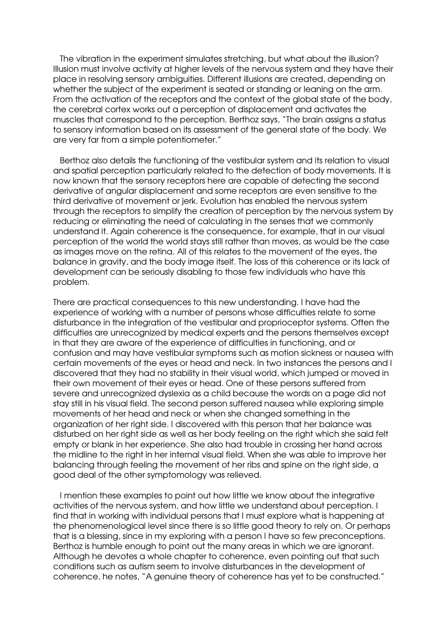The vibration in the experiment simulates stretching, but what about the illusion? Illusion must involve activity at higher levels of the nervous system and they have their place in resolving sensory ambiguities. Different illusions are created, depending on whether the subject of the experiment is seated or standing or leaning on the arm. From the activation of the receptors and the context of the global state of the body, the cerebral cortex works out a perception of displacement and activates the muscles that correspond to the perception. Berthoz says, "The brain assigns a status to sensory information based on its assessment of the general state of the body. We are very far from a simple potentiometer."

Berthoz also details the functioning of the vestibular system and its relation to visual and spatial perception particularly related to the detection of body movements. It is now known that the sensory receptors here are capable of detecting the second derivative of angular displacement and some receptors are even sensitive to the third derivative of movement or jerk. Evolution has enabled the nervous system through the receptors to simplify the creation of perception by the nervous system by reducing or eliminating the need of calculating in the senses that we commonly understand it. Again coherence is the consequence, for example, that in our visual perception of the world the world stays still rather than moves, as would be the case as images move on the retina. All of this relates to the movement of the eyes, the balance in gravity, and the body image itself. The loss of this coherence or its lack of development can be seriously disabling to those few individuals who have this problem.

There are practical consequences to this new understanding. I have had the experience of working with a number of persons whose difficulties relate to some disturbance in the integration of the vestibular and proprioceptor systems. Often the difficulties are unrecognized by medical experts and the persons themselves except in that they are aware of the experience of difficulties in functioning, and or confusion and may have vestibular symptoms such as motion sickness or nausea with certain movements of the eyes or head and neck. In two instances the persons and I discovered that they had no stability in their visual world, which jumped or moved in their own movement of their eyes or head. One of these persons suffered from severe and unrecognized dyslexia as a child because the words on a page did not stay still in his visual field. The second person suffered nausea while exploring simple movements of her head and neck or when she changed something in the organization of her right side. I discovered with this person that her balance was disturbed on her right side as well as her body feeling on the right which she said felt empty or blank in her experience. She also had trouble in crossing her hand across the midline to the right in her internal visual field. When she was able to improve her balancing through feeling the movement of her ribs and spine on the right side, a good deal of the other symptomology was relieved.

I mention these examples to point out how little we know about the integrative activities of the nervous system, and how little we understand about perception. I find that in working with individual persons that I must explore what is happening at the phenomenological level since there is so little good theory to rely on. Or perhaps that is a blessing, since in my exploring with a person I have so few preconceptions. Berthoz is humble enough to point out the many areas in which we are ignorant. Although he devotes a whole chapter to coherence, even pointing out that such conditions such as autism seem to involve disturbances in the development of coherence, he notes, "A genuine theory of coherence has yet to be constructed."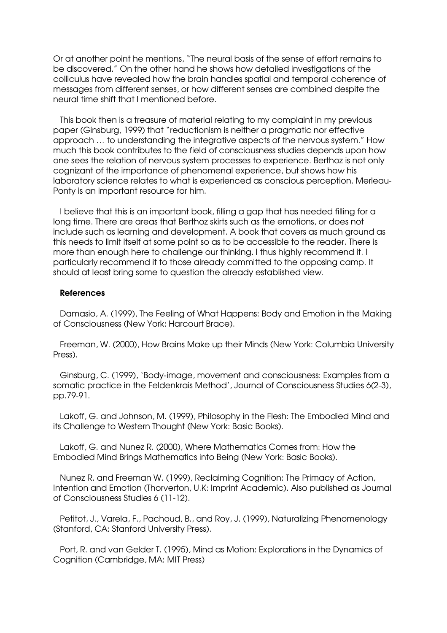Or at another point he mentions, "The neural basis of the sense of effort remains to be discovered." On the other hand he shows how detailed investigations of the colliculus have revealed how the brain handles spatial and temporal coherence of messages from different senses, or how different senses are combined despite the neural time shift that I mentioned before.

This book then is a treasure of material relating to my complaint in my previous paper (Ginsburg, 1999) that "reductionism is neither a pragmatic nor effective approach … to understanding the integrative aspects of the nervous system." How much this book contributes to the field of consciousness studies depends upon how one sees the relation of nervous system processes to experience. Berthoz is not only cognizant of the importance of phenomenal experience, but shows how his laboratory science relates to what is experienced as conscious perception. Merleau-Ponty is an important resource for him.

I believe that this is an important book, filling a gap that has needed filling for a long time. There are areas that Berthoz skirts such as the emotions, or does not include such as learning and development. A book that covers as much ground as this needs to limit itself at some point so as to be accessible to the reader. There is more than enough here to challenge our thinking. I thus highly recommend it. I particularly recommend it to those already committed to the opposing camp. It should at least bring some to question the already established view.

## References

Damasio, A. (1999), The Feeling of What Happens: Body and Emotion in the Making of Consciousness (New York: Harcourt Brace).

Freeman, W. (2000), How Brains Make up their Minds (New York: Columbia University Press).

Ginsburg, C. (1999), 'Body-image, movement and consciousness: Examples from a somatic practice in the Feldenkrais Method', Journal of Consciousness Studies 6(2-3), pp.79-91.

Lakoff, G. and Johnson, M. (1999), Philosophy in the Flesh: The Embodied Mind and its Challenge to Western Thought (New York: Basic Books).

Lakoff, G. and Nunez R. (2000), Where Mathematics Comes from: How the Embodied Mind Brings Mathematics into Being (New York: Basic Books).

Nunez R. and Freeman W. (1999), Reclaiming Cognition: The Primacy of Action, Intention and Emotion (Thorverton, U.K: Imprint Academic). Also published as Journal of Consciousness Studies 6 (11-12).

Petitot, J., Varela, F., Pachoud, B., and Roy, J. (1999), Naturalizing Phenomenology (Stanford, CA: Stanford University Press).

Port, R. and van Gelder T. (1995), Mind as Motion: Explorations in the Dynamics of Cognition (Cambridge, MA: MIT Press)